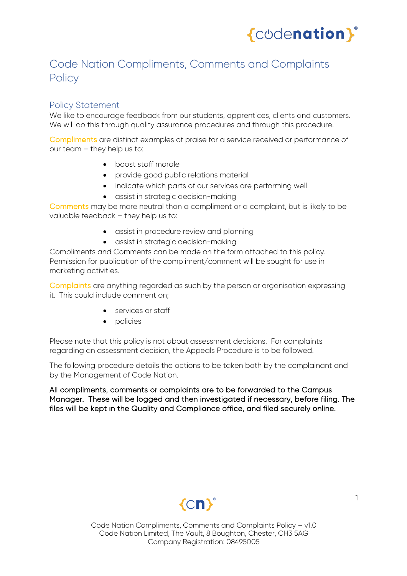

# Code Nation Compliments, Comments and Complaints **Policy**

# Policy Statement

We like to encourage feedback from our students, apprentices, clients and customers. We will do this through quality assurance procedures and through this procedure.

Compliments are distinct examples of praise for a service received or performance of our team – they help us to:

- boost staff morale
- provide good public relations material
- indicate which parts of our services are performing well
- assist in strategic decision-making

Comments may be more neutral than a compliment or a complaint, but is likely to be valuable feedback – they help us to:

- assist in procedure review and planning
- assist in strategic decision-making

Compliments and Comments can be made on the form attached to this policy. Permission for publication of the compliment/comment will be sought for use in marketing activities.

Complaints are anything regarded as such by the person or organisation expressing it. This could include comment on;

- services or staff
- policies

Please note that this policy is not about assessment decisions. For complaints regarding an assessment decision, the Appeals Procedure is to be followed.

The following procedure details the actions to be taken both by the complainant and by the Management of Code Nation.

All compliments, comments or complaints are to be forwarded to the Campus Manager. These will be logged and then investigated if necessary, before filing. The files will be kept in the Quality and Compliance office, and filed securely online.

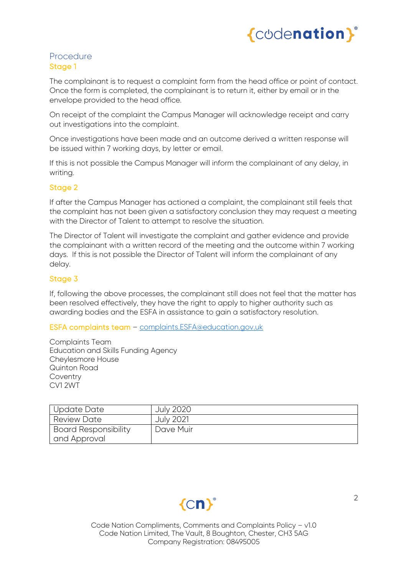

### Procedure Stage 1

The complainant is to request a complaint form from the head office or point of contact. Once the form is completed, the complainant is to return it, either by email or in the envelope provided to the head office.

On receipt of the complaint the Campus Manager will acknowledge receipt and carry out investigations into the complaint.

Once investigations have been made and an outcome derived a written response will be issued within 7 working days, by letter or email.

If this is not possible the Campus Manager will inform the complainant of any delay, in writing.

#### Stage 2

If after the Campus Manager has actioned a complaint, the complainant still feels that the complaint has not been given a satisfactory conclusion they may request a meeting with the Director of Talent to attempt to resolve the situation.

The Director of Talent will investigate the complaint and gather evidence and provide the complainant with a written record of the meeting and the outcome within 7 working days. If this is not possible the Director of Talent will inform the complainant of any delay.

#### Stage 3

If, following the above processes, the complainant still does not feel that the matter has been resolved effectively, they have the right to apply to higher authority such as awarding bodies and the ESFA in assistance to gain a satisfactory resolution.

#### ESFA complaints team – complaints.ESFA@education.gov.uk

Complaints Team Education and Skills Funding Agency Cheylesmore House Quinton Road Coventry CV1 2WT

| Update Date                 | <b>July 2020</b> |
|-----------------------------|------------------|
| <b>Review Date</b>          | <b>July 2021</b> |
| <b>Board Responsibility</b> | Dave Muir        |
| and Approval                |                  |

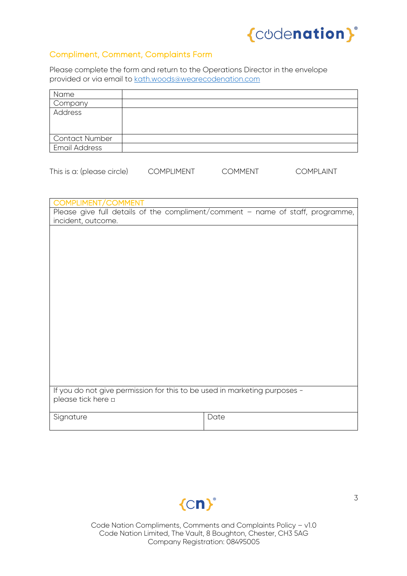

## Compliment, Comment, Complaints Form

Please complete the form and return to the Operations Director in the envelope provided or via email to kath.woods@wearecodenation.com

| Name                  |  |
|-----------------------|--|
| Company               |  |
| Address               |  |
|                       |  |
|                       |  |
| <b>Contact Number</b> |  |
| <b>Email Address</b>  |  |
|                       |  |

|  | This is a: (please circle) | <b>COMPLIMENT</b> | <b>COMMENT</b> | COMPLAINT |
|--|----------------------------|-------------------|----------------|-----------|
|--|----------------------------|-------------------|----------------|-----------|

| COMPLIMENT/COMMENT                                                        |                                                                                |
|---------------------------------------------------------------------------|--------------------------------------------------------------------------------|
|                                                                           |                                                                                |
|                                                                           | Please give full details of the compliment/comment - name of staff, programme, |
| incident, outcome.                                                        |                                                                                |
|                                                                           |                                                                                |
|                                                                           |                                                                                |
|                                                                           |                                                                                |
|                                                                           |                                                                                |
|                                                                           |                                                                                |
|                                                                           |                                                                                |
|                                                                           |                                                                                |
|                                                                           |                                                                                |
|                                                                           |                                                                                |
|                                                                           |                                                                                |
|                                                                           |                                                                                |
|                                                                           |                                                                                |
|                                                                           |                                                                                |
|                                                                           |                                                                                |
|                                                                           |                                                                                |
|                                                                           |                                                                                |
|                                                                           |                                                                                |
|                                                                           |                                                                                |
|                                                                           |                                                                                |
|                                                                           |                                                                                |
| If you do not give permission for this to be used in marketing purposes - |                                                                                |
| please tick here a                                                        |                                                                                |
|                                                                           |                                                                                |
| Signature                                                                 | Date                                                                           |
|                                                                           |                                                                                |

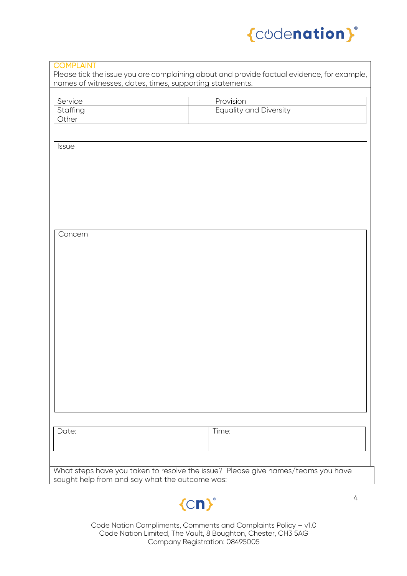

| names of witnesses, dates, times, supporting statements. |                               |  |
|----------------------------------------------------------|-------------------------------|--|
| Service                                                  | Provision                     |  |
| Staffing                                                 | <b>Equality and Diversity</b> |  |
| Other                                                    |                               |  |
|                                                          |                               |  |
|                                                          |                               |  |
| Issue                                                    |                               |  |
|                                                          |                               |  |
|                                                          |                               |  |
|                                                          |                               |  |
|                                                          |                               |  |
|                                                          |                               |  |
|                                                          |                               |  |
|                                                          |                               |  |
|                                                          |                               |  |
| Concern                                                  |                               |  |
|                                                          |                               |  |
|                                                          |                               |  |
|                                                          |                               |  |
|                                                          |                               |  |
|                                                          |                               |  |
|                                                          |                               |  |
|                                                          |                               |  |
|                                                          |                               |  |
|                                                          |                               |  |
|                                                          |                               |  |
|                                                          |                               |  |
|                                                          |                               |  |
|                                                          |                               |  |
|                                                          |                               |  |
|                                                          |                               |  |
|                                                          |                               |  |
|                                                          |                               |  |
|                                                          |                               |  |
|                                                          |                               |  |
|                                                          |                               |  |
|                                                          |                               |  |
| Date:                                                    | Time:                         |  |
|                                                          |                               |  |
|                                                          |                               |  |